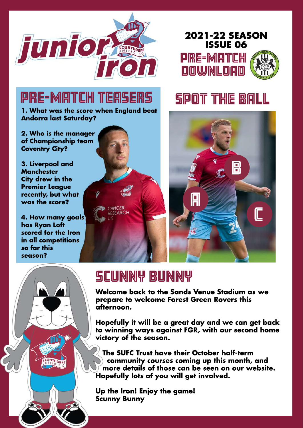





# PRE-MATCH TEASERS

**1. What was the score when England beat Andorra last Saturday?**

**2. Who is the manager of Championship team Coventry City?**

**3. Liverpool and Manchester City drew in the Premier League recently, but what was the score?**

**4. How many goals has Ryan Loft scored for the Iron in all competitions so far this season?**



# SPOT THE BALL



## **SCUNNY BUNNY**

**Welcome back to the Sands Venue Stadium as we prepare to welcome Forest Green Rovers this afternoon.**

**Hopefully it will be a great day and we can get back to winning ways against FGR, with our second home victory of the season.**

**The SUFC Trust have their October half-term community courses coming up this month, and more details of those can be seen on our website. Hopefully lots of you will get involved.**

**Up the Iron! Enjoy the game! Scunny Bunny**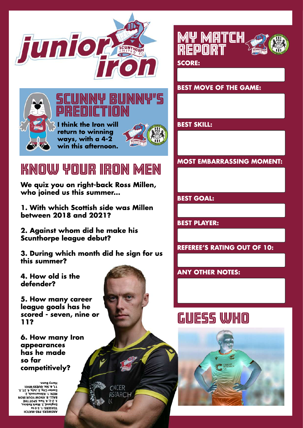



### SCUNNY BUNNY'S PREDICTION **I think the Iron will return to winning ways, with a 4-2**



# KNOW YOUR IRON MEN

**win this afternoon.**

**We quiz you on right-back Ross Millen, who joined us this summer...**

**1. With which Scottish side was Millen between 2018 and 2021?**

**2. Against whom did he make his Scunthorpe league debut?**

**3. During which month did he sign for us this summer?**

**4. How old is the defender?**

**5. How many career league goals has he scored - seven, nine or 11?**

**6. How many Iron appearances has he made so far competitively?**

**HCTA M- ERP: SRE WSNA ot 0- 5. 1: SRESAET** BVFF: B' KNOM JONB IBON<br>3' 3-3' d' L<sup>MO</sup>' SbOL LHE<br>Eudlsuq' 3' Msık Bopius' **. 2, kconr <sup>a</sup> mli K. 1: NE M . 5, 72. <sup>4</sup>, yl uJ. 3, yti Cr et exE : OH WSSEUG. xi S. 6, 11 . nnuByrr aH**



CNCER **RSFARCH** 



**SCORE:**

**BEST MOVE OF THE GAME:**

**BEST SKILL:**

**MOST EMBARRASSING MOMENT:**

**BEST GOAL:**

**BEST PLAYER:**

**REFEREE'S RATING OUT OF 10:**

**ANY OTHER NOTES:**

# GUESS WHO

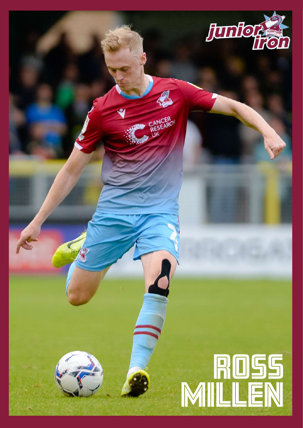